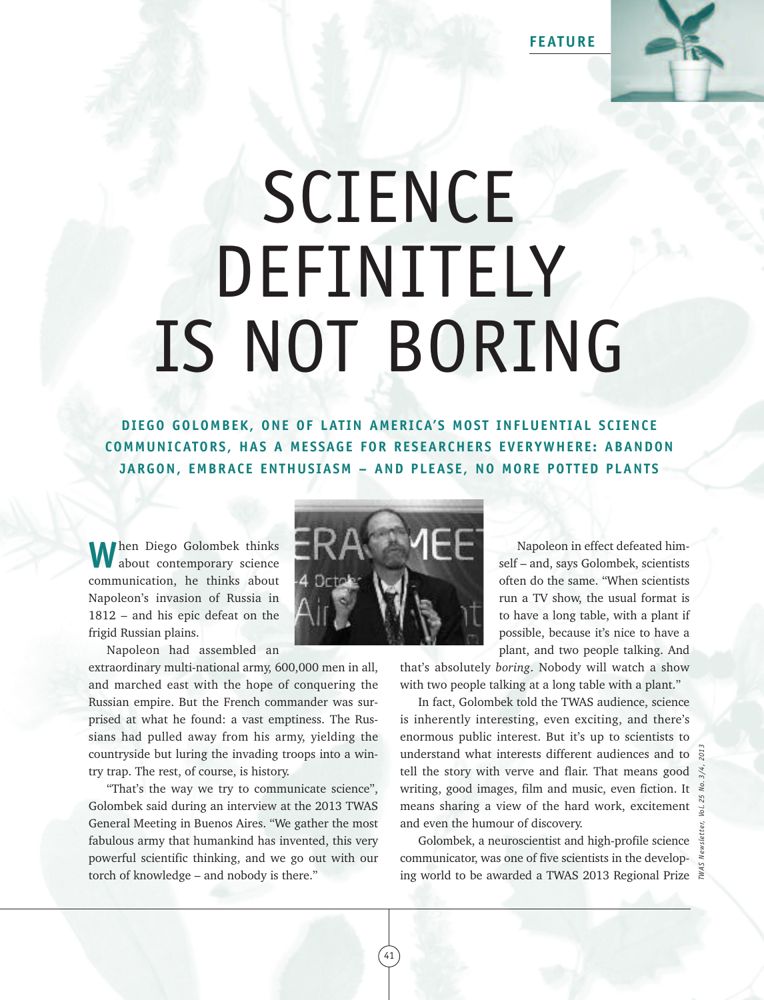**FEATURE**



## SCIENCE DEFINITELY IS NOT BORING

**DIEGO GOLOMBEK, ONE OF LAT IN AMERICA'S MOST INFLUENT IAL SCIENCE COMMUNICATORS, HAS A MESSAGE FOR RESEARCHERS EVERYWHERE: ABANDON JARGON, EMBRACE ENTHUSIASM – AND PLEASE, NO MORE POT TED PLANTS**

**W**hen Diego Golombek thinks about contemporary science communication, he thinks about Napoleon's invasion of Russia in 1812 – and his epic defeat on the frigid Russian plains.



Napoleon had assembled an

extraordinary multi-national army, 600,000 men in all, and marched east with the hope of conquering the Russian empire. But the French commander was surprised at what he found: a vast emptiness. The Russians had pulled away from his army, yielding the countryside but luring the invading troops into a wintry trap. The rest, of course, is history.

"That's the way we try to communicate science", Golombek said during an interview at the 2013 TWAS General Meeting in Buenos Aires. "We gather the most fabulous army that humankind has invented, this very powerful scientific thinking, and we go out with our torch of knowledge – and nobody is there."

Napoleon in effect defeated himself – and, says Golombek, scientists often do the same. "When scientists run a TV show, the usual format is to have a long table, with a plant if possible, because it's nice to have a plant, and two people talking. And

that's absolutely *boring*. Nobody will watch a show with two people talking at a long table with a plant."

In fact, Golombek told the TWAS audience, science is inherently interesting, even exciting, and there's enormous public interest. But it's up to scientists to understand what interests different audiences and to tell the story with verve and flair. That means good writing, good images, film and music, even fiction. It means sharing a view of the hard work, excitement and even the humour of discovery. inderstand what interests different audiences and to  $\frac{32}{8}$ <br>tell the story with verve and flair. That means good  $\frac{32}{8}$ <br>writing, good images, film and music, even fiction. It  $\frac{3}{8}$ <br>means sharing a view of the h

Golombek, a neuroscientist and high-profile science communicator, was one of five scientists in the develop-

 $41$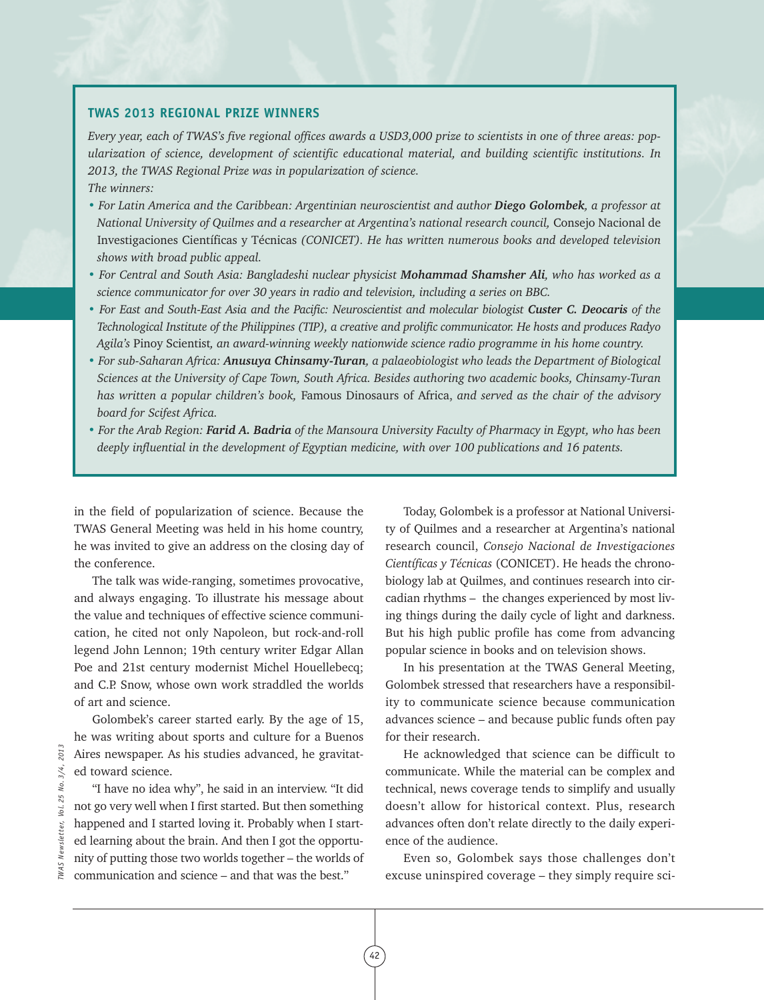## **TWAS 2013 REGIONAL PRIZE WINNERS**

Every year, each of TWAS's five regional offices awards a USD3,000 prize to scientists in one of three areas: pop*ularization of science, development of scientific educational material, and building scientific institutions. In 2013, the TWAS Regional Prize was in popularization of science. The winners:*

- For Latin America and the Caribbean: Argentinian neuroscientist and author Diego Golombek, a professor at *National University of Quilmes and a researcher at Argentina's national research council,* Consejo Nacional de Investigaciones Científicas y Técnicas *(CONICET). He has written numerous books and developed television shows with broad public appeal.*
- · For Central and South Asia: Bangladeshi nuclear physicist Mohammad Shamsher Ali, who has worked as a *science communicator for over 30 years in radio and television, including a series on BBC.*
- For East and South-East Asia and the Pacific: Neuroscientist and molecular biologist Custer C. Deocaris of the Technological Institute of the Philippines (TIP), a creative and prolific communicator. He hosts and produces Radyo *Agila's* Pinoy Scientist*, an award-winning weekly nationwide science radio programme in his home country.*
- *• For sub-Saharan Africa: Anusuya Chinsamy-Turan, a palaeobiologist who leads the Department of Biological Sciences at the University of Cape Town, South Africa. Besides authoring two academic books, Chinsamy-Turan has written a popular children's book,* Famous Dinosaurs of Africa, *and served as the chair of the advisory board for Scifest Africa.*
- For the Arab Region: Farid A. Badria of the Mansoura University Faculty of Pharmacy in Egypt, who has been *deeply influential in the development of Egyptian medicine, with over 100 publications and 16 patents.*

42

in the field of popularization of science. Because the TWAS General Meeting was held in his home country, he was invited to give an address on the closing day of the conference.

The talk was wide-ranging, sometimes provocative, and always engaging. To illustrate his message about the value and techniques of effective science communication, he cited not only Napoleon, but rock-and-roll legend John Lennon; 19th century writer Edgar Allan Poe and 21st century modernist Michel Houellebecq; and C.P. Snow, whose own work straddled the worlds of art and science.

Golombek's career started early. By the age of 15, he was writing about sports and culture for a Buenos Aires newspaper. As his studies advanced, he gravitated toward science.

"I have no idea why", he said in an interview. "It did not go very well when I first started. But then something happened and I started loving it. Probably when I started learning about the brain. And then I got the opportunity of putting those two worlds together – the worlds of communication and science – and that was the best."

Today, Golombek is a professor at National University of Quilmes and a researcher at Argentina's national research council, *Consejo Nacional de Investigaciones Científicas y Técnicas* (CONICET). He heads the chronobiology lab at Quilmes, and continues research into circadian rhythms – the changes experienced by most living things during the daily cycle of light and darkness. But his high public profile has come from advancing popular science in books and on television shows.

In his presentation at the TWAS General Meeting, Golombek stressed that researchers have a responsibility to communicate science because communication advances science – and because public funds often pay for their research.

He acknowledged that science can be difficult to communicate. While the material can be complex and technical, news coverage tends to simplify and usually doesn't allow for historical context. Plus, research advances often don't relate directly to the daily experience of the audience.

Even so, Golombek says those challenges don't excuse uninspired coverage – they simply require sci-

2013